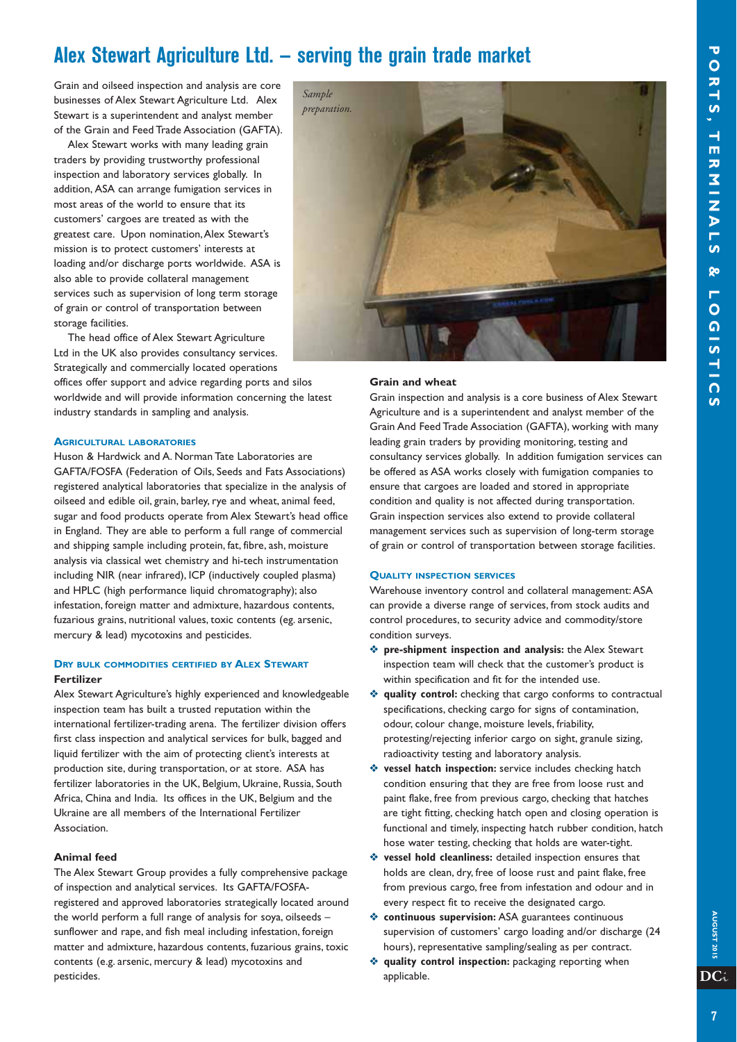## **Alex Stewart Agriculture Ltd. — serving the grain trade market**

Grain and oilseed inspection and analysis are core businesses of Alex Stewart Agriculture Ltd. Alex Stewart is a superintendent and analyst member of the Grain and Feed Trade Association (GAFTA).

Alex Stewart works with many leading grain traders by providing trustworthy professional inspection and laboratory services globally. In addition, ASA can arrange fumigation services in most areas of the world to ensure that its customers' cargoes are treated as with the greatest care. Upon nomination, Alex Stewart's mission is to protect customers' interests at loading and/or discharge ports worldwide. ASA is also able to provide collateral management services such as supervision of long term storage of grain or control of transportation between storage facilities.

The head office of Alex Stewart Agriculture Ltd in the UK also provides consultancy services. Strategically and commercially located operations offices offer support and advice regarding ports and silos worldwide and will provide information concerning the latest industry standards in sampling and analysis.

#### **AGRICULTURAL LABORATORIES**

Huson & Hardwick and A. Norman Tate Laboratories are GAFTA/FOSFA (Federation of Oils, Seeds and Fats Associations) registered analytical laboratories that specialize in the analysis of oilseed and edible oil, grain, barley, rye and wheat, animal feed, sugar and food products operate from Alex Stewart's head office in England. They are able to perform a full range of commercial and shipping sample including protein, fat, fibre, ash, moisture analysis via classical wet chemistry and hi-tech instrumentation including NIR (near infrared), ICP (inductively coupled plasma) and HPLC (high performance liquid chromatography); also infestation, foreign matter and admixture, hazardous contents, fuzarious grains, nutritional values, toxic contents (eg. arsenic, mercury & lead) mycotoxins and pesticides.

### **DRY BULK COMMODITIES CERTIFIED BY ALEX STEWART Fertilizer**

Alex Stewart Agriculture's highly experienced and knowledgeable inspection team has built a trusted reputation within the international fertilizer-trading arena. The fertilizer division offers first class inspection and analytical services for bulk, bagged and liquid fertilizer with the aim of protecting client's interests at production site, during transportation, or at store. ASA has fertilizer laboratories in the UK, Belgium, Ukraine, Russia, South Africa, China and India. Its offices in the UK, Belgium and the Ukraine are all members of the International Fertilizer Association.

#### **Animal feed**

The Alex Stewart Group provides a fully comprehensive package of inspection and analytical services. Its GAFTA/FOSFAregistered and approved laboratories strategically located around the world perform a full range of analysis for soya, oilseeds – sunflower and rape, and fish meal including infestation, foreign matter and admixture, hazardous contents, fuzarious grains, toxic contents (e.g. arsenic, mercury & lead) mycotoxins and pesticides.



#### **Grain and wheat**

Grain inspection and analysis is a core business of Alex Stewart Agriculture and is a superintendent and analyst member of the Grain And Feed Trade Association (GAFTA), working with many leading grain traders by providing monitoring, testing and consultancy services globally. In addition fumigation services can be offered as ASA works closely with fumigation companies to ensure that cargoes are loaded and stored in appropriate condition and quality is not affected during transportation. Grain inspection services also extend to provide collateral management services such as supervision of long-term storage of grain or control of transportation between storage facilities.

#### **QUALITY INSPECTION SERVICES**

Warehouse inventory control and collateral management: ASA can provide a diverse range of services, from stock audits and control procedures, to security advice and commodity/store condition surveys.

- v **pre-shipment inspection and analysis:** the Alex Stewart inspection team will check that the customer's product is within specification and fit for the intended use.
- **v** quality control: checking that cargo conforms to contractual specifications, checking cargo for signs of contamination, odour, colour change, moisture levels, friability, protesting/rejecting inferior cargo on sight, granule sizing, radioactivity testing and laboratory analysis.
- **v** vessel hatch inspection: service includes checking hatch condition ensuring that they are free from loose rust and paint flake, free from previous cargo, checking that hatches are tight fitting, checking hatch open and closing operation is functional and timely, inspecting hatch rubber condition, hatch hose water testing, checking that holds are water-tight.
- **v** vessel hold cleanliness: detailed inspection ensures that holds are clean, dry, free of loose rust and paint flake, free from previous cargo, free from infestation and odour and in every respect fit to receive the designated cargo.
- $\triangle$  **continuous supervision:** ASA guarantees continuous supervision of customers' cargo loading and/or discharge (24 hours), representative sampling/sealing as per contract.
- **v** quality control inspection: packaging reporting when applicable.